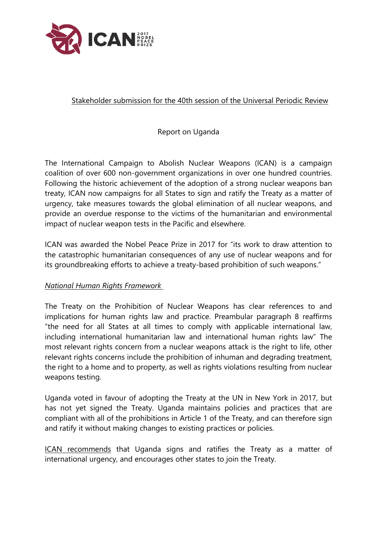

## Stakeholder submission for the 40th session of the Universal Periodic Review

Report on Uganda

The International Campaign to Abolish Nuclear Weapons (ICAN) is <sup>a</sup> campaign coalition of over 600 non-governmen<sup>t</sup> organizations in over one hundred countries. Following the historic achievement of the adoption of <sup>a</sup> strong nuclear weapons ban treaty, ICAN now campaigns for all States to sign and ratify the Treaty as <sup>a</sup> matter of urgency, take measures towards the global elimination of all nuclear weapons, and provide an overdue response to the victims of the humanitarian and environmental impact of nuclear weapon tests in the Pacific and elsewhere.

ICAN was awarded the Nobel Peace Prize in 2017 for "its work to draw attention to the catastrophic humanitarian consequences of any use of nuclear weapons and for its groundbreaking efforts to achieve <sup>a</sup> treaty-based prohibition of such weapons."

## *National Human Rights Framework*

The Treaty on the Prohibition of Nuclear Weapons has clear references to and implications for human rights law and practice. Preambular paragraph 8 reaffirms "the need for all States at all times to comply with applicable international law, including international humanitarian law and international human rights law" The most relevant rights concern from <sup>a</sup> nuclear weapons attack is the right to life, other relevant rights concerns include the prohibition of inhuman and degrading treatment, the right to <sup>a</sup> home and to property, as well as rights violations resulting from nuclear weapons testing.

Uganda voted in favour of adopting the Treaty at the UN in New York in 2017, but has not ye<sup>t</sup> signed the Treaty. Uganda maintains policies and practices that are compliant with all of the prohibitions in Article 1 of the Treaty, and can therefore sign and ratify it without making changes to existing practices or policies.

ICAN recommends that Uganda signs and ratifies the Treaty as <sup>a</sup> matter of international urgency, and encourages other states to join the Treaty.